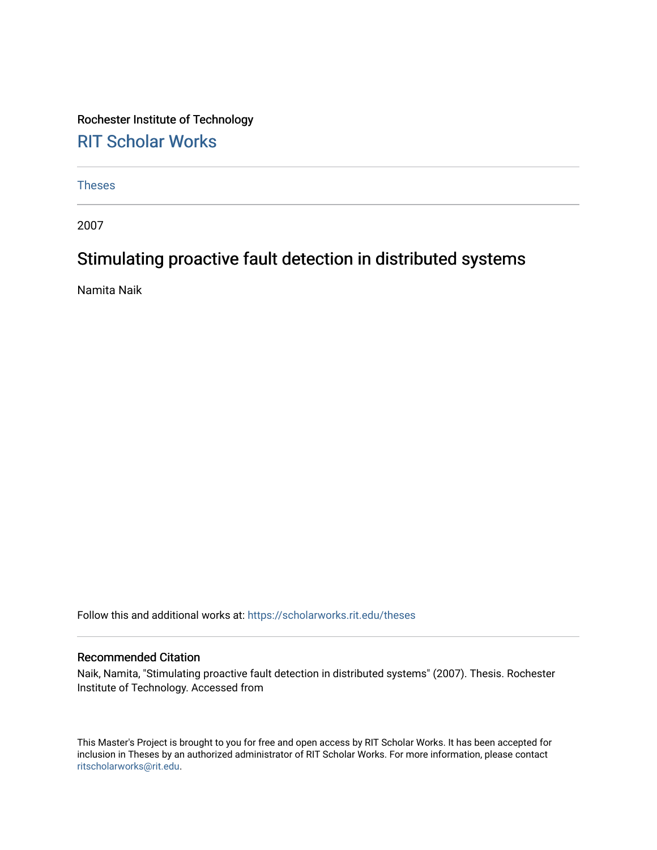Rochester Institute of Technology [RIT Scholar Works](https://scholarworks.rit.edu/)

[Theses](https://scholarworks.rit.edu/theses) 

2007

# Stimulating proactive fault detection in distributed systems

Namita Naik

Follow this and additional works at: [https://scholarworks.rit.edu/theses](https://scholarworks.rit.edu/theses?utm_source=scholarworks.rit.edu%2Ftheses%2F6926&utm_medium=PDF&utm_campaign=PDFCoverPages) 

## Recommended Citation

Naik, Namita, "Stimulating proactive fault detection in distributed systems" (2007). Thesis. Rochester Institute of Technology. Accessed from

This Master's Project is brought to you for free and open access by RIT Scholar Works. It has been accepted for inclusion in Theses by an authorized administrator of RIT Scholar Works. For more information, please contact [ritscholarworks@rit.edu](mailto:ritscholarworks@rit.edu).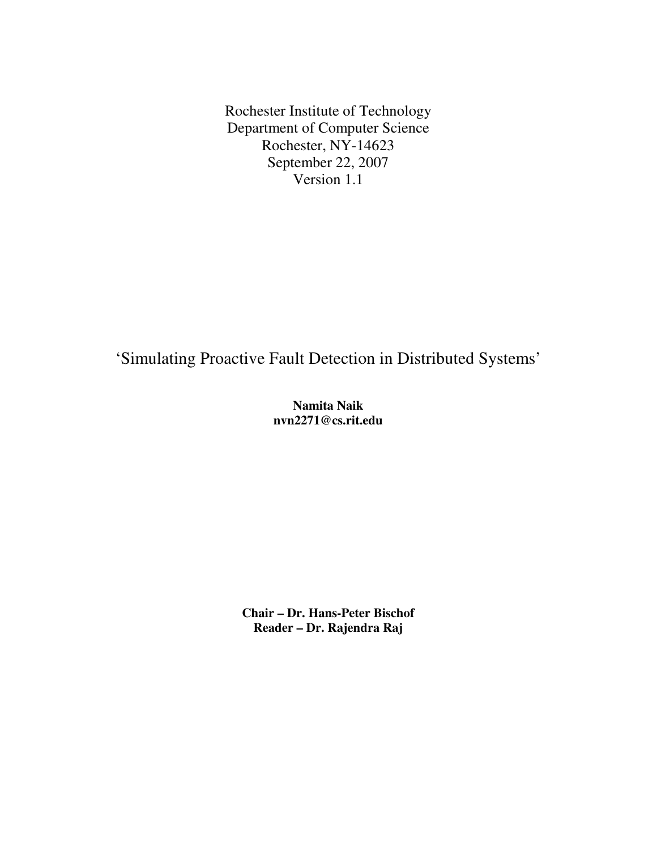Rochester Institute of Technology Department of Computer Science Rochester, NY-14623 September 22, 2007 Version 1.1

'Simulating Proactive Fault Detection in Distributed Systems'

**Namita Naik nvn2271@cs.rit.edu** 

**Chair – Dr. Hans-Peter Bischof Reader – Dr. Rajendra Raj**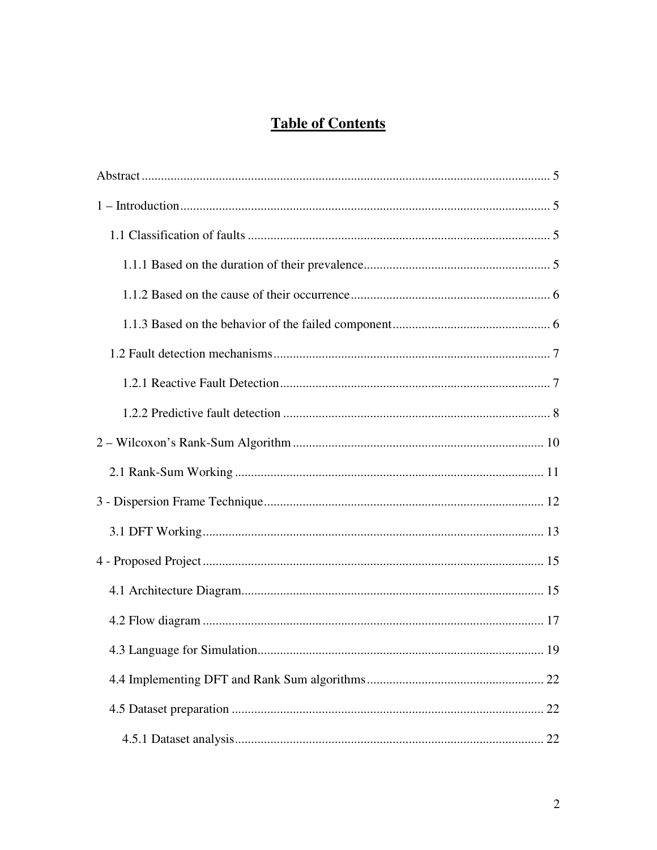# **Table of Contents**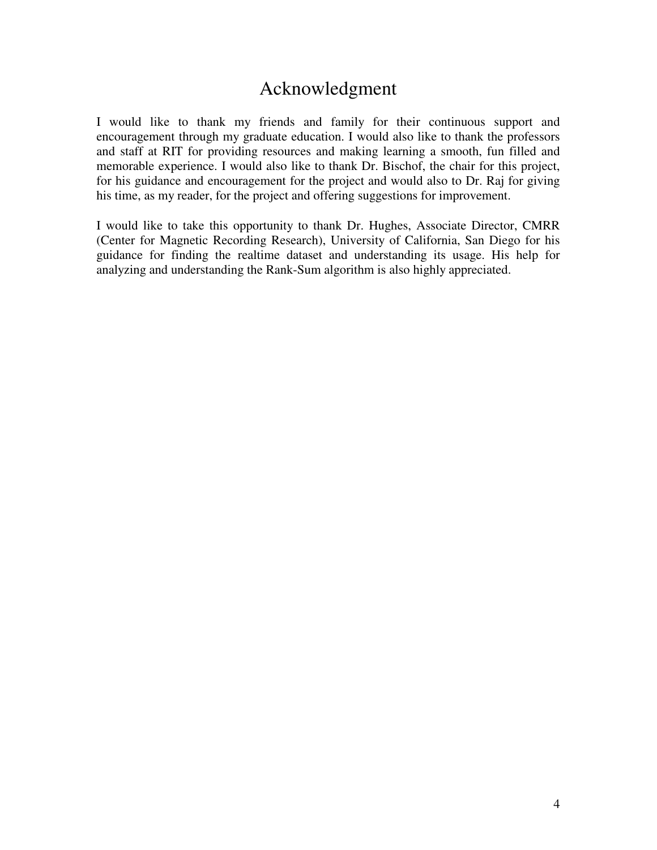# Acknowledgment

I would like to thank my friends and family for their continuous support and encouragement through my graduate education. I would also like to thank the professors and staff at RIT for providing resources and making learning a smooth, fun filled and memorable experience. I would also like to thank Dr. Bischof, the chair for this project, for his guidance and encouragement for the project and would also to Dr. Raj for giving his time, as my reader, for the project and offering suggestions for improvement.

I would like to take this opportunity to thank Dr. Hughes, Associate Director, CMRR (Center for Magnetic Recording Research), University of California, San Diego for his guidance for finding the realtime dataset and understanding its usage. His help for analyzing and understanding the Rank-Sum algorithm is also highly appreciated.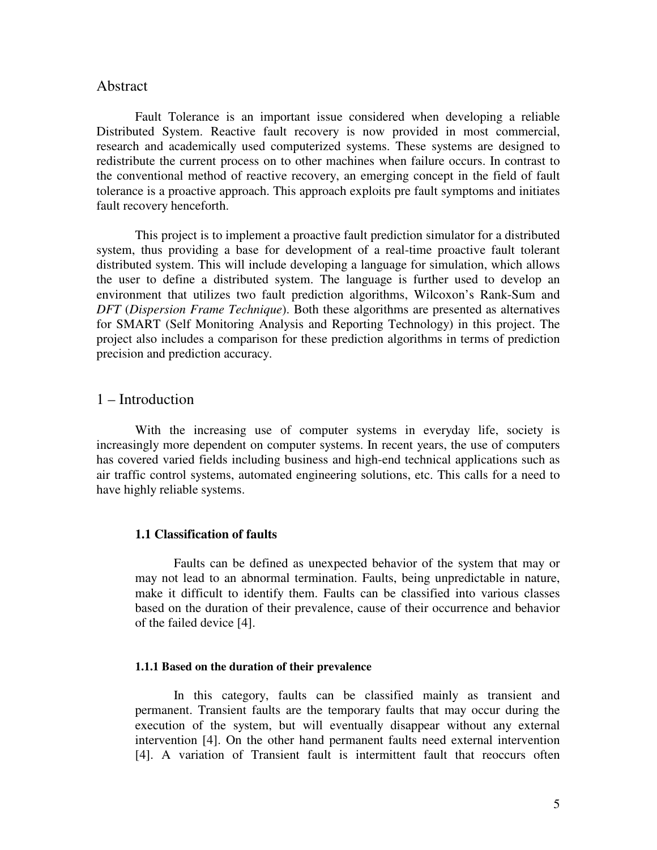# Abstract

 Fault Tolerance is an important issue considered when developing a reliable Distributed System. Reactive fault recovery is now provided in most commercial, research and academically used computerized systems. These systems are designed to redistribute the current process on to other machines when failure occurs. In contrast to the conventional method of reactive recovery, an emerging concept in the field of fault tolerance is a proactive approach. This approach exploits pre fault symptoms and initiates fault recovery henceforth.

This project is to implement a proactive fault prediction simulator for a distributed system, thus providing a base for development of a real-time proactive fault tolerant distributed system. This will include developing a language for simulation, which allows the user to define a distributed system. The language is further used to develop an environment that utilizes two fault prediction algorithms, Wilcoxon's Rank-Sum and *DFT* (*Dispersion Frame Technique*). Both these algorithms are presented as alternatives for SMART (Self Monitoring Analysis and Reporting Technology) in this project. The project also includes a comparison for these prediction algorithms in terms of prediction precision and prediction accuracy.

# 1 – Introduction

With the increasing use of computer systems in everyday life, society is increasingly more dependent on computer systems. In recent years, the use of computers has covered varied fields including business and high-end technical applications such as air traffic control systems, automated engineering solutions, etc. This calls for a need to have highly reliable systems.

#### **1.1 Classification of faults**

Faults can be defined as unexpected behavior of the system that may or may not lead to an abnormal termination. Faults, being unpredictable in nature, make it difficult to identify them. Faults can be classified into various classes based on the duration of their prevalence, cause of their occurrence and behavior of the failed device [4].

# **1.1.1 Based on the duration of their prevalence**

In this category, faults can be classified mainly as transient and permanent. Transient faults are the temporary faults that may occur during the execution of the system, but will eventually disappear without any external intervention [4]. On the other hand permanent faults need external intervention [4]. A variation of Transient fault is intermittent fault that reoccurs often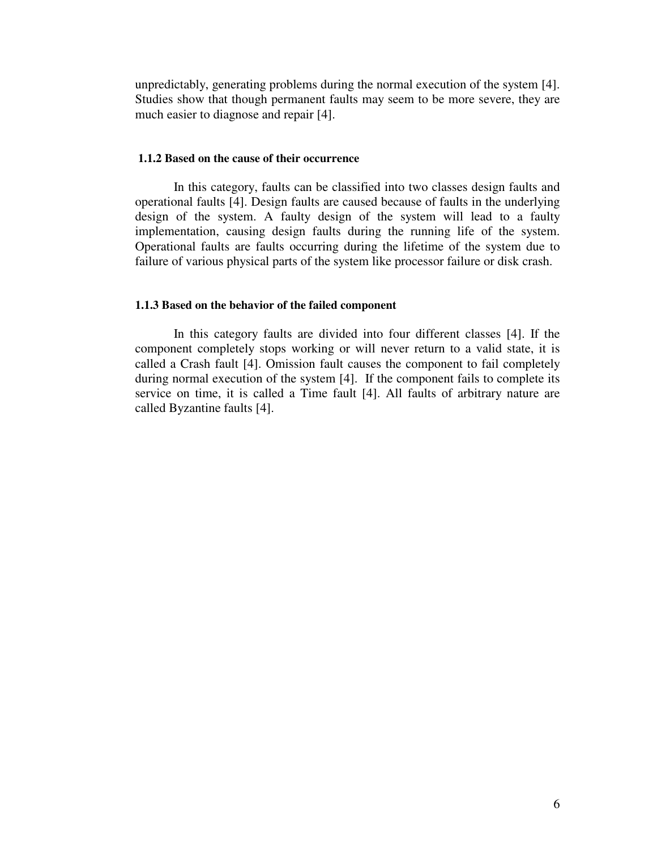unpredictably, generating problems during the normal execution of the system [4]. Studies show that though permanent faults may seem to be more severe, they are much easier to diagnose and repair [4].

## **1.1.2 Based on the cause of their occurrence**

In this category, faults can be classified into two classes design faults and operational faults [4]. Design faults are caused because of faults in the underlying design of the system. A faulty design of the system will lead to a faulty implementation, causing design faults during the running life of the system. Operational faults are faults occurring during the lifetime of the system due to failure of various physical parts of the system like processor failure or disk crash.

#### **1.1.3 Based on the behavior of the failed component**

In this category faults are divided into four different classes [4]. If the component completely stops working or will never return to a valid state, it is called a Crash fault [4]. Omission fault causes the component to fail completely during normal execution of the system [4]. If the component fails to complete its service on time, it is called a Time fault [4]. All faults of arbitrary nature are called Byzantine faults [4].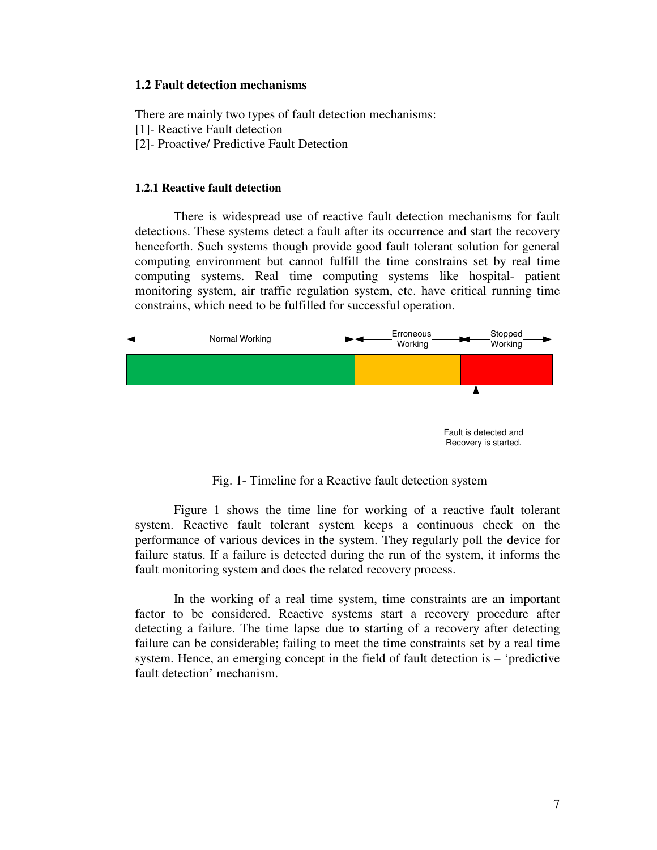## **1.2 Fault detection mechanisms**

There are mainly two types of fault detection mechanisms:

- [1] Reactive Fault detection
- [2]- Proactive/ Predictive Fault Detection

## **1.2.1 Reactive fault detection**

There is widespread use of reactive fault detection mechanisms for fault detections. These systems detect a fault after its occurrence and start the recovery henceforth. Such systems though provide good fault tolerant solution for general computing environment but cannot fulfill the time constrains set by real time computing systems. Real time computing systems like hospital- patient monitoring system, air traffic regulation system, etc. have critical running time constrains, which need to be fulfilled for successful operation.



Fig. 1- Timeline for a Reactive fault detection system

Figure 1 shows the time line for working of a reactive fault tolerant system. Reactive fault tolerant system keeps a continuous check on the performance of various devices in the system. They regularly poll the device for failure status. If a failure is detected during the run of the system, it informs the fault monitoring system and does the related recovery process.

In the working of a real time system, time constraints are an important factor to be considered. Reactive systems start a recovery procedure after detecting a failure. The time lapse due to starting of a recovery after detecting failure can be considerable; failing to meet the time constraints set by a real time system. Hence, an emerging concept in the field of fault detection is – 'predictive fault detection' mechanism.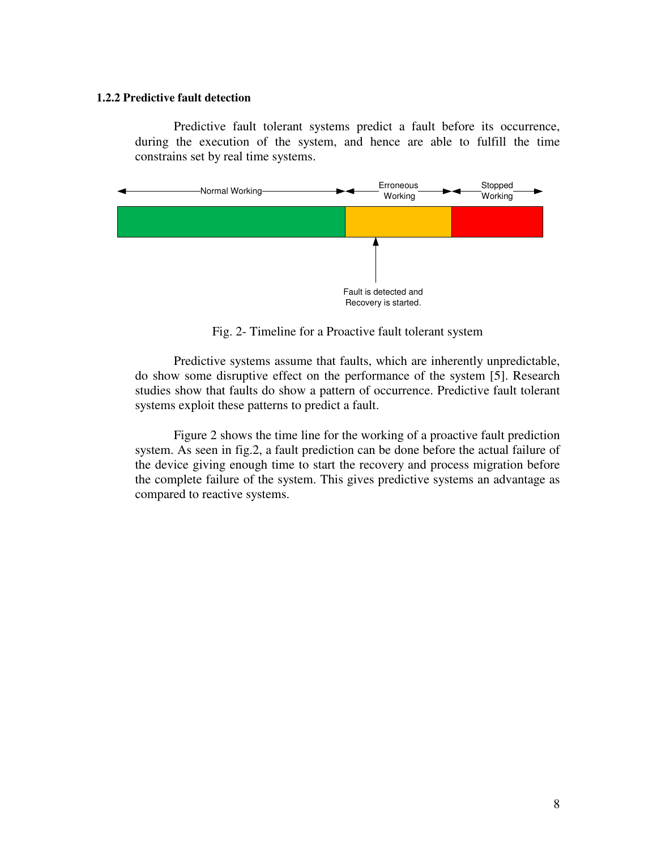#### **1.2.2 Predictive fault detection**

Predictive fault tolerant systems predict a fault before its occurrence, during the execution of the system, and hence are able to fulfill the time constrains set by real time systems.



Fig. 2- Timeline for a Proactive fault tolerant system

Predictive systems assume that faults, which are inherently unpredictable, do show some disruptive effect on the performance of the system [5]. Research studies show that faults do show a pattern of occurrence. Predictive fault tolerant systems exploit these patterns to predict a fault.

Figure 2 shows the time line for the working of a proactive fault prediction system. As seen in fig.2, a fault prediction can be done before the actual failure of the device giving enough time to start the recovery and process migration before the complete failure of the system. This gives predictive systems an advantage as compared to reactive systems.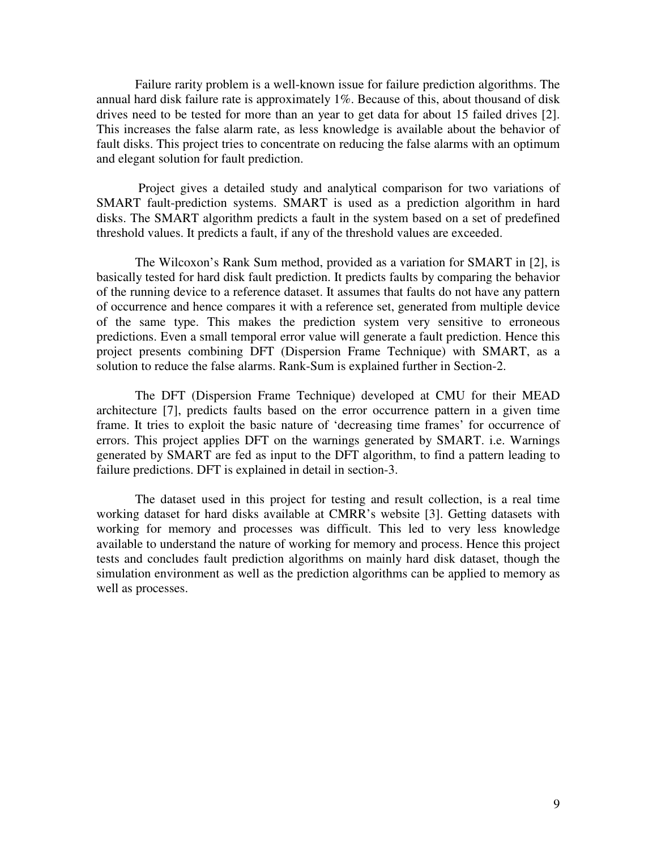Failure rarity problem is a well-known issue for failure prediction algorithms. The annual hard disk failure rate is approximately 1%. Because of this, about thousand of disk drives need to be tested for more than an year to get data for about 15 failed drives [2]. This increases the false alarm rate, as less knowledge is available about the behavior of fault disks. This project tries to concentrate on reducing the false alarms with an optimum and elegant solution for fault prediction.

 Project gives a detailed study and analytical comparison for two variations of SMART fault-prediction systems. SMART is used as a prediction algorithm in hard disks. The SMART algorithm predicts a fault in the system based on a set of predefined threshold values. It predicts a fault, if any of the threshold values are exceeded.

The Wilcoxon's Rank Sum method, provided as a variation for SMART in [2], is basically tested for hard disk fault prediction. It predicts faults by comparing the behavior of the running device to a reference dataset. It assumes that faults do not have any pattern of occurrence and hence compares it with a reference set, generated from multiple device of the same type. This makes the prediction system very sensitive to erroneous predictions. Even a small temporal error value will generate a fault prediction. Hence this project presents combining DFT (Dispersion Frame Technique) with SMART, as a solution to reduce the false alarms. Rank-Sum is explained further in Section-2.

The DFT (Dispersion Frame Technique) developed at CMU for their MEAD architecture [7], predicts faults based on the error occurrence pattern in a given time frame. It tries to exploit the basic nature of 'decreasing time frames' for occurrence of errors. This project applies DFT on the warnings generated by SMART. i.e. Warnings generated by SMART are fed as input to the DFT algorithm, to find a pattern leading to failure predictions. DFT is explained in detail in section-3.

 The dataset used in this project for testing and result collection, is a real time working dataset for hard disks available at CMRR's website [3]. Getting datasets with working for memory and processes was difficult. This led to very less knowledge available to understand the nature of working for memory and process. Hence this project tests and concludes fault prediction algorithms on mainly hard disk dataset, though the simulation environment as well as the prediction algorithms can be applied to memory as well as processes.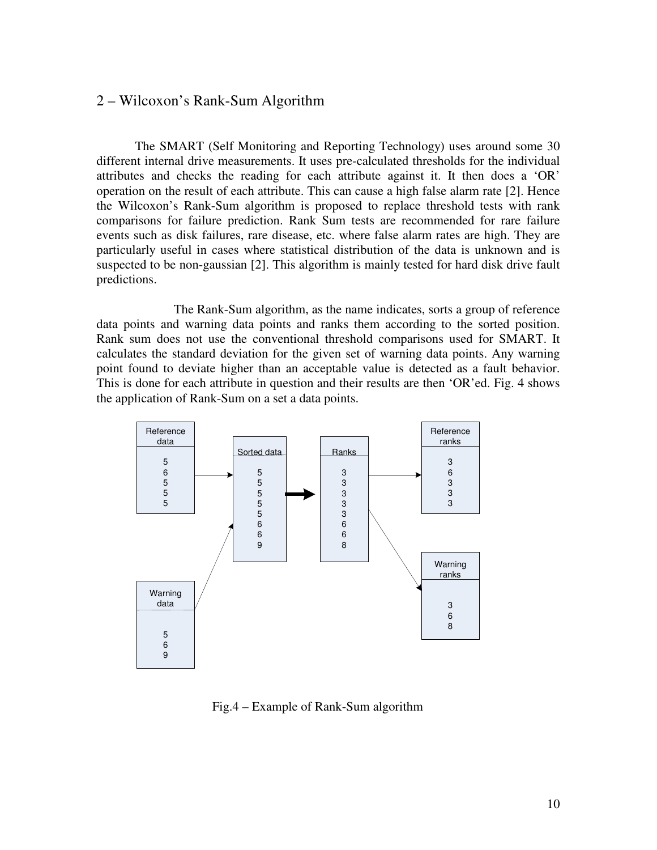# 2 – Wilcoxon's Rank-Sum Algorithm

The SMART (Self Monitoring and Reporting Technology) uses around some 30 different internal drive measurements. It uses pre-calculated thresholds for the individual attributes and checks the reading for each attribute against it. It then does a 'OR' operation on the result of each attribute. This can cause a high false alarm rate [2]. Hence the Wilcoxon's Rank-Sum algorithm is proposed to replace threshold tests with rank comparisons for failure prediction. Rank Sum tests are recommended for rare failure events such as disk failures, rare disease, etc. where false alarm rates are high. They are particularly useful in cases where statistical distribution of the data is unknown and is suspected to be non-gaussian [2]. This algorithm is mainly tested for hard disk drive fault predictions.

 The Rank-Sum algorithm, as the name indicates, sorts a group of reference data points and warning data points and ranks them according to the sorted position. Rank sum does not use the conventional threshold comparisons used for SMART. It calculates the standard deviation for the given set of warning data points. Any warning point found to deviate higher than an acceptable value is detected as a fault behavior. This is done for each attribute in question and their results are then 'OR'ed. Fig. 4 shows the application of Rank-Sum on a set a data points.



Fig.4 – Example of Rank-Sum algorithm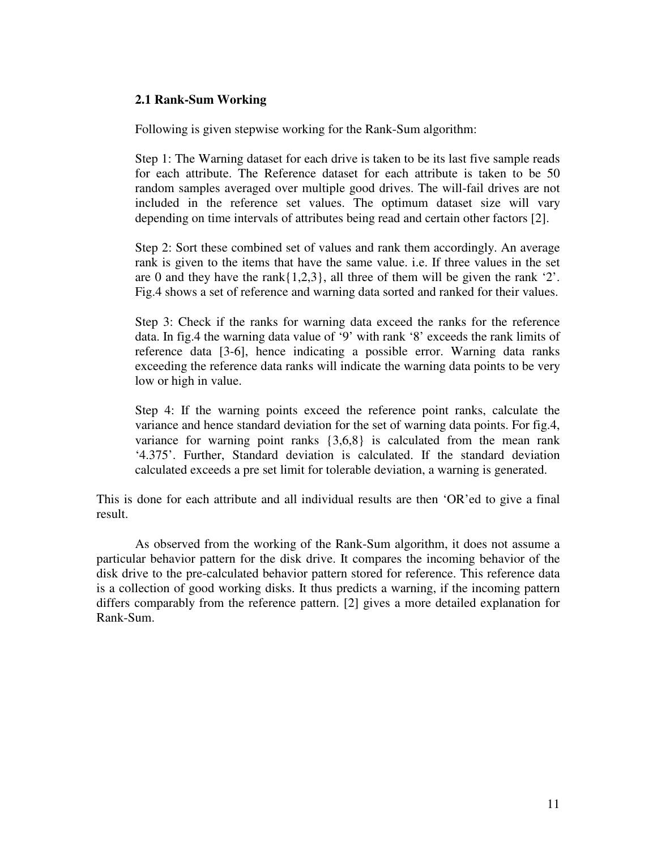# **2.1 Rank-Sum Working**

Following is given stepwise working for the Rank-Sum algorithm:

Step 1: The Warning dataset for each drive is taken to be its last five sample reads for each attribute. The Reference dataset for each attribute is taken to be 50 random samples averaged over multiple good drives. The will-fail drives are not included in the reference set values. The optimum dataset size will vary depending on time intervals of attributes being read and certain other factors [2].

Step 2: Sort these combined set of values and rank them accordingly. An average rank is given to the items that have the same value. i.e. If three values in the set are 0 and they have the rank $\{1,2,3\}$ , all three of them will be given the rank '2'. Fig.4 shows a set of reference and warning data sorted and ranked for their values.

Step 3: Check if the ranks for warning data exceed the ranks for the reference data. In fig.4 the warning data value of '9' with rank '8' exceeds the rank limits of reference data [3-6], hence indicating a possible error. Warning data ranks exceeding the reference data ranks will indicate the warning data points to be very low or high in value.

Step 4: If the warning points exceed the reference point ranks, calculate the variance and hence standard deviation for the set of warning data points. For fig.4, variance for warning point ranks {3,6,8} is calculated from the mean rank '4.375'. Further, Standard deviation is calculated. If the standard deviation calculated exceeds a pre set limit for tolerable deviation, a warning is generated.

This is done for each attribute and all individual results are then 'OR'ed to give a final result.

As observed from the working of the Rank-Sum algorithm, it does not assume a particular behavior pattern for the disk drive. It compares the incoming behavior of the disk drive to the pre-calculated behavior pattern stored for reference. This reference data is a collection of good working disks. It thus predicts a warning, if the incoming pattern differs comparably from the reference pattern. [2] gives a more detailed explanation for Rank-Sum.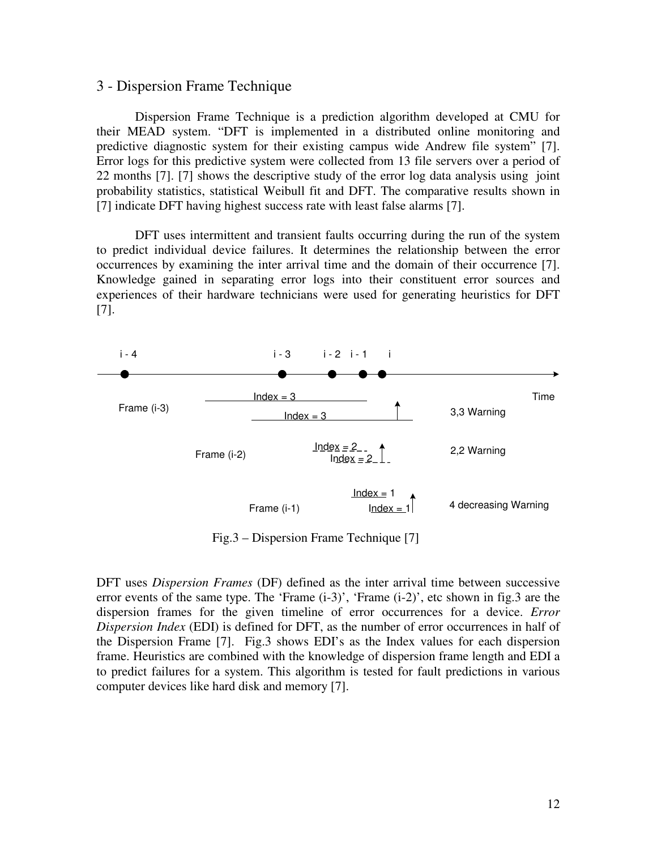## 3 - Dispersion Frame Technique

 Dispersion Frame Technique is a prediction algorithm developed at CMU for their MEAD system. "DFT is implemented in a distributed online monitoring and predictive diagnostic system for their existing campus wide Andrew file system" [7]. Error logs for this predictive system were collected from 13 file servers over a period of 22 months [7]. [7] shows the descriptive study of the error log data analysis using joint probability statistics, statistical Weibull fit and DFT. The comparative results shown in [7] indicate DFT having highest success rate with least false alarms [7].

 DFT uses intermittent and transient faults occurring during the run of the system to predict individual device failures. It determines the relationship between the error occurrences by examining the inter arrival time and the domain of their occurrence [7]. Knowledge gained in separating error logs into their constituent error sources and experiences of their hardware technicians were used for generating heuristics for DFT [7].



Fig.3 – Dispersion Frame Technique [7]

DFT uses *Dispersion Frames* (DF) defined as the inter arrival time between successive error events of the same type. The 'Frame (i-3)', 'Frame (i-2)', etc shown in fig.3 are the dispersion frames for the given timeline of error occurrences for a device. *Error Dispersion Index* (EDI) is defined for DFT, as the number of error occurrences in half of the Dispersion Frame [7]. Fig.3 shows EDI's as the Index values for each dispersion frame. Heuristics are combined with the knowledge of dispersion frame length and EDI a to predict failures for a system. This algorithm is tested for fault predictions in various computer devices like hard disk and memory [7].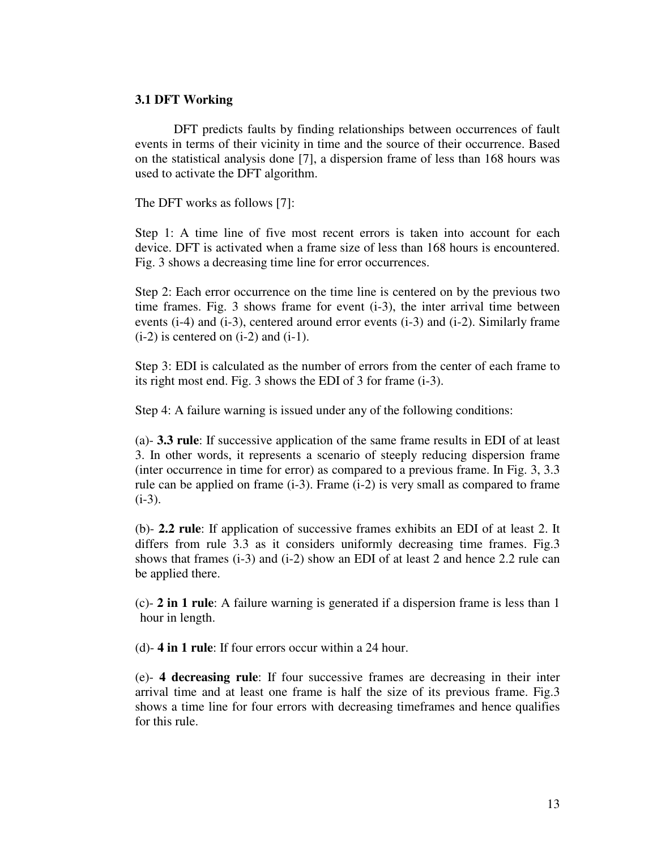# **3.1 DFT Working**

 DFT predicts faults by finding relationships between occurrences of fault events in terms of their vicinity in time and the source of their occurrence. Based on the statistical analysis done [7], a dispersion frame of less than 168 hours was used to activate the DFT algorithm.

The DFT works as follows [7]:

Step 1: A time line of five most recent errors is taken into account for each device. DFT is activated when a frame size of less than 168 hours is encountered. Fig. 3 shows a decreasing time line for error occurrences.

Step 2: Each error occurrence on the time line is centered on by the previous two time frames. Fig. 3 shows frame for event (i-3), the inter arrival time between events (i-4) and (i-3), centered around error events (i-3) and (i-2). Similarly frame  $(i-2)$  is centered on  $(i-2)$  and  $(i-1)$ .

Step 3: EDI is calculated as the number of errors from the center of each frame to its right most end. Fig. 3 shows the EDI of 3 for frame (i-3).

Step 4: A failure warning is issued under any of the following conditions:

(a)- **3.3 rule**: If successive application of the same frame results in EDI of at least 3. In other words, it represents a scenario of steeply reducing dispersion frame (inter occurrence in time for error) as compared to a previous frame. In Fig. 3, 3.3 rule can be applied on frame (i-3). Frame (i-2) is very small as compared to frame  $(i-3)$ .

(b)- **2.2 rule**: If application of successive frames exhibits an EDI of at least 2. It differs from rule 3.3 as it considers uniformly decreasing time frames. Fig.3 shows that frames (i-3) and (i-2) show an EDI of at least 2 and hence 2.2 rule can be applied there.

 (c)- **2 in 1 rule**: A failure warning is generated if a dispersion frame is less than 1 hour in length.

(d)- **4 in 1 rule**: If four errors occur within a 24 hour.

 (e)- **4 decreasing rule**: If four successive frames are decreasing in their inter arrival time and at least one frame is half the size of its previous frame. Fig.3 shows a time line for four errors with decreasing timeframes and hence qualifies for this rule.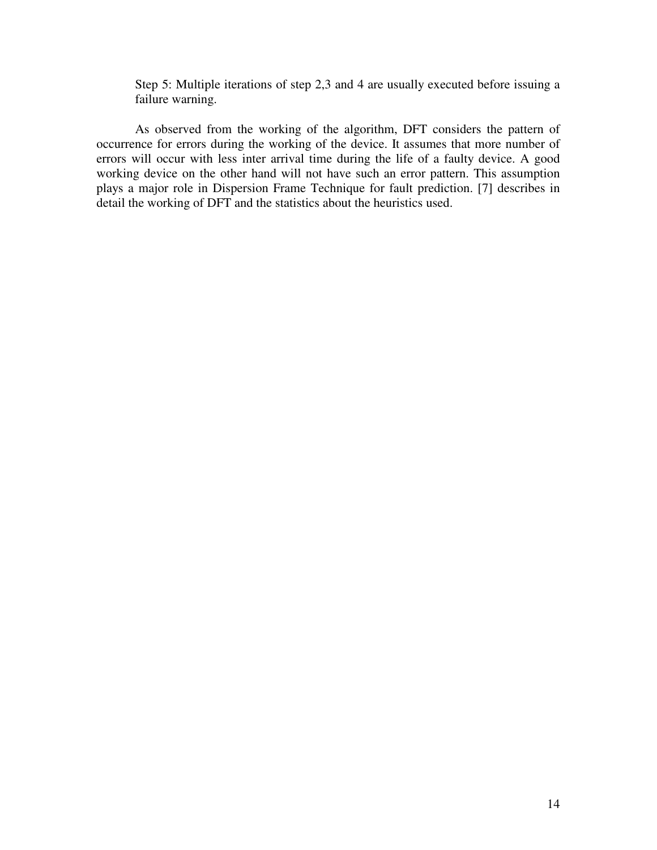Step 5: Multiple iterations of step 2,3 and 4 are usually executed before issuing a failure warning.

 As observed from the working of the algorithm, DFT considers the pattern of occurrence for errors during the working of the device. It assumes that more number of errors will occur with less inter arrival time during the life of a faulty device. A good working device on the other hand will not have such an error pattern. This assumption plays a major role in Dispersion Frame Technique for fault prediction. [7] describes in detail the working of DFT and the statistics about the heuristics used.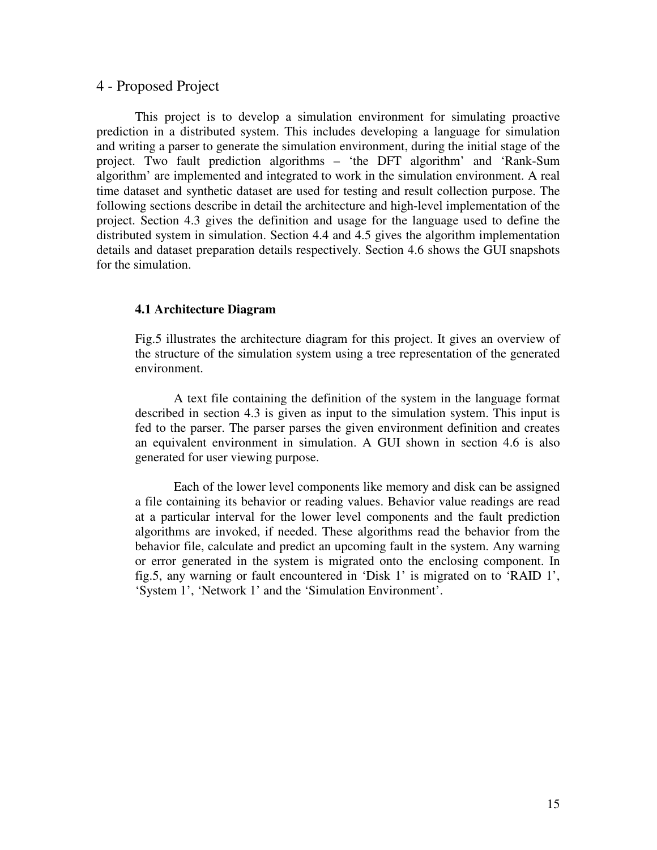# 4 - Proposed Project

This project is to develop a simulation environment for simulating proactive prediction in a distributed system. This includes developing a language for simulation and writing a parser to generate the simulation environment, during the initial stage of the project. Two fault prediction algorithms – 'the DFT algorithm' and 'Rank-Sum algorithm' are implemented and integrated to work in the simulation environment. A real time dataset and synthetic dataset are used for testing and result collection purpose. The following sections describe in detail the architecture and high-level implementation of the project. Section 4.3 gives the definition and usage for the language used to define the distributed system in simulation. Section 4.4 and 4.5 gives the algorithm implementation details and dataset preparation details respectively. Section 4.6 shows the GUI snapshots for the simulation.

# **4.1 Architecture Diagram**

Fig.5 illustrates the architecture diagram for this project. It gives an overview of the structure of the simulation system using a tree representation of the generated environment.

A text file containing the definition of the system in the language format described in section 4.3 is given as input to the simulation system. This input is fed to the parser. The parser parses the given environment definition and creates an equivalent environment in simulation. A GUI shown in section 4.6 is also generated for user viewing purpose.

Each of the lower level components like memory and disk can be assigned a file containing its behavior or reading values. Behavior value readings are read at a particular interval for the lower level components and the fault prediction algorithms are invoked, if needed. These algorithms read the behavior from the behavior file, calculate and predict an upcoming fault in the system. Any warning or error generated in the system is migrated onto the enclosing component. In fig.5, any warning or fault encountered in 'Disk 1' is migrated on to 'RAID 1', 'System 1', 'Network 1' and the 'Simulation Environment'.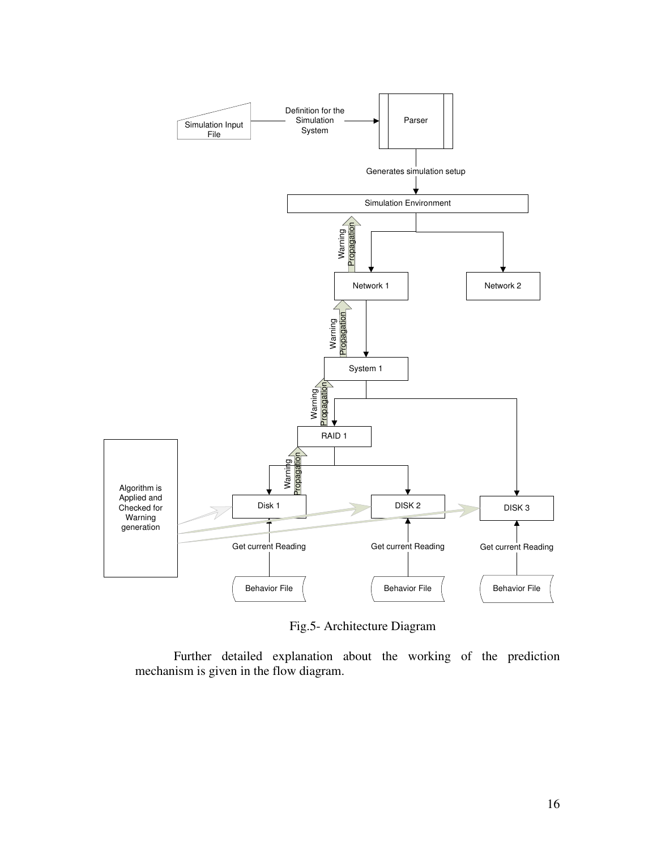

Fig.5- Architecture Diagram

Further detailed explanation about the working of the prediction mechanism is given in the flow diagram.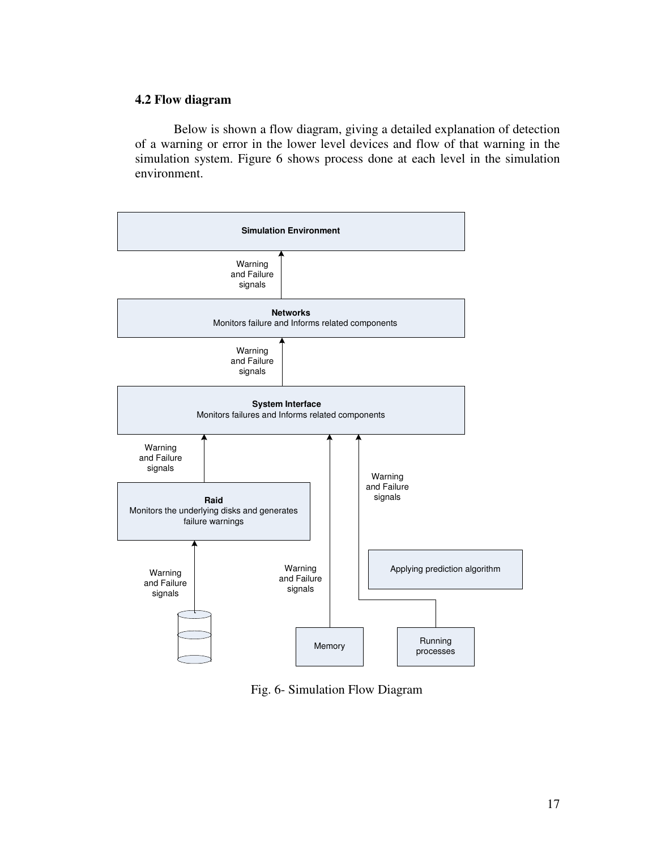# **4.2 Flow diagram**

Below is shown a flow diagram, giving a detailed explanation of detection of a warning or error in the lower level devices and flow of that warning in the simulation system. Figure 6 shows process done at each level in the simulation environment.



Fig. 6- Simulation Flow Diagram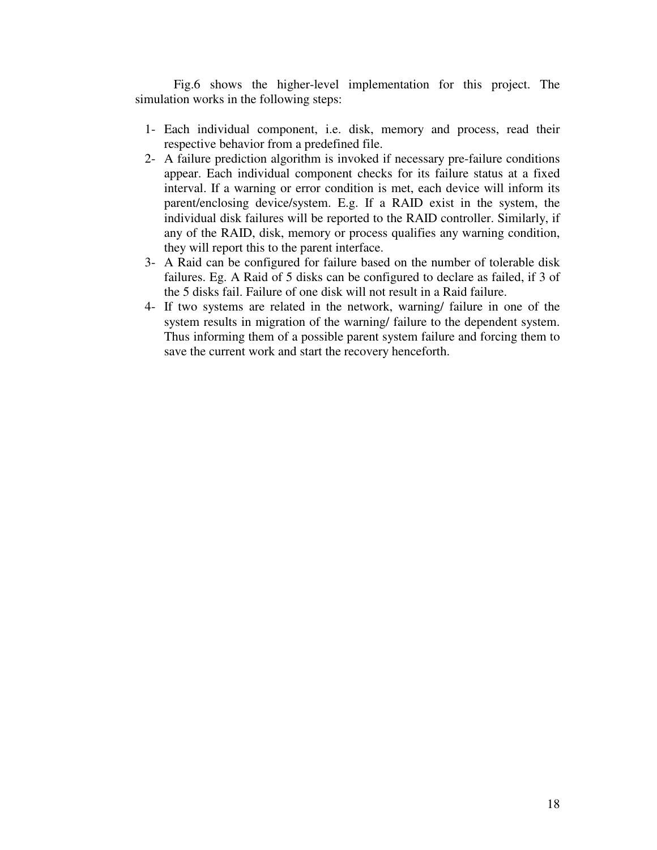Fig.6 shows the higher-level implementation for this project. The simulation works in the following steps:

- 1- Each individual component, i.e. disk, memory and process, read their respective behavior from a predefined file.
- 2- A failure prediction algorithm is invoked if necessary pre-failure conditions appear. Each individual component checks for its failure status at a fixed interval. If a warning or error condition is met, each device will inform its parent/enclosing device/system. E.g. If a RAID exist in the system, the individual disk failures will be reported to the RAID controller. Similarly, if any of the RAID, disk, memory or process qualifies any warning condition, they will report this to the parent interface.
- 3- A Raid can be configured for failure based on the number of tolerable disk failures. Eg. A Raid of 5 disks can be configured to declare as failed, if 3 of the 5 disks fail. Failure of one disk will not result in a Raid failure.
- 4- If two systems are related in the network, warning/ failure in one of the system results in migration of the warning/ failure to the dependent system. Thus informing them of a possible parent system failure and forcing them to save the current work and start the recovery henceforth.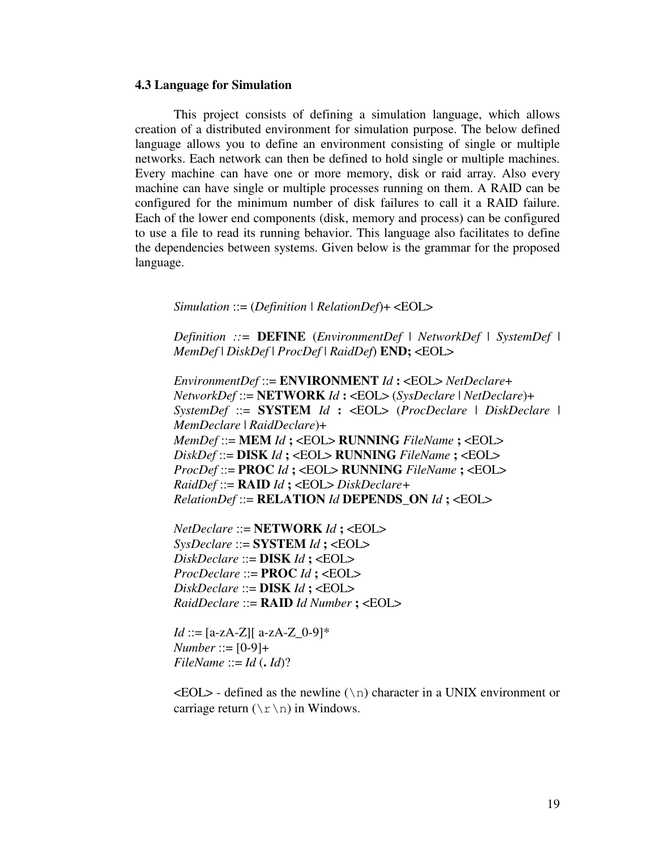## **4.3 Language for Simulation**

This project consists of defining a simulation language, which allows creation of a distributed environment for simulation purpose. The below defined language allows you to define an environment consisting of single or multiple networks. Each network can then be defined to hold single or multiple machines. Every machine can have one or more memory, disk or raid array. Also every machine can have single or multiple processes running on them. A RAID can be configured for the minimum number of disk failures to call it a RAID failure. Each of the lower end components (disk, memory and process) can be configured to use a file to read its running behavior. This language also facilitates to define the dependencies between systems. Given below is the grammar for the proposed language.

*Simulation* ::= (*Definition | RelationDef*)+ <EOL>

*Definition ::=* **DEFINE** (*EnvironmentDef* | *NetworkDef* | *SystemDef* | *MemDef* | *DiskDef* | *ProcDef* | *RaidDef*) **END;** <EOL>

*EnvironmentDef* ::= **ENVIRONMENT** *Id* **:** <EOL> *NetDeclare*+ *NetworkDef* ::= **NETWORK** *Id* **:** <EOL> (*SysDeclare* | *NetDeclare*)+ *SystemDef* ::= **SYSTEM** *Id* **:** <EOL> (*ProcDeclare* | *DiskDeclare* | *MemDeclare* | *RaidDeclare*)+ *MemDef* ::= **MEM** *Id* **;** <EOL> **RUNNING** *FileName* **;** <EOL> *DiskDef* ::= **DISK** *Id* **;** <EOL> **RUNNING** *FileName* **;** <EOL> *ProcDef* ::= **PROC** *Id* **;** <EOL> **RUNNING** *FileName* **;** <EOL> *RaidDef* ::= **RAID** *Id* **;** <EOL> *DiskDeclare+ RelationDef* ::= **RELATION** *Id* **DEPENDS\_ON** *Id* **;** <EOL>

*NetDeclare* ::= **NETWORK** *Id* **;** <EOL> *SysDeclare* ::= **SYSTEM** *Id* **;** <EOL> *DiskDeclare* ::= **DISK** *Id* **;** <EOL> *ProcDeclare* ::= **PROC** *Id* **;** <EOL> *DiskDeclare* ::= **DISK** *Id* **;** <EOL> *RaidDeclare* ::= **RAID** *Id Number* **;** <EOL>

*Id* ::=  $[a-zA-Z][ a-zA-Z]$  0-9]\* *Number* ::= [0-9]+  $FileName ::= Id (.Id)?$ 

 $\langle EOL \rangle$  - defined as the newline (\n) character in a UNIX environment or carriage return  $(\n\chi\gamma)$  in Windows.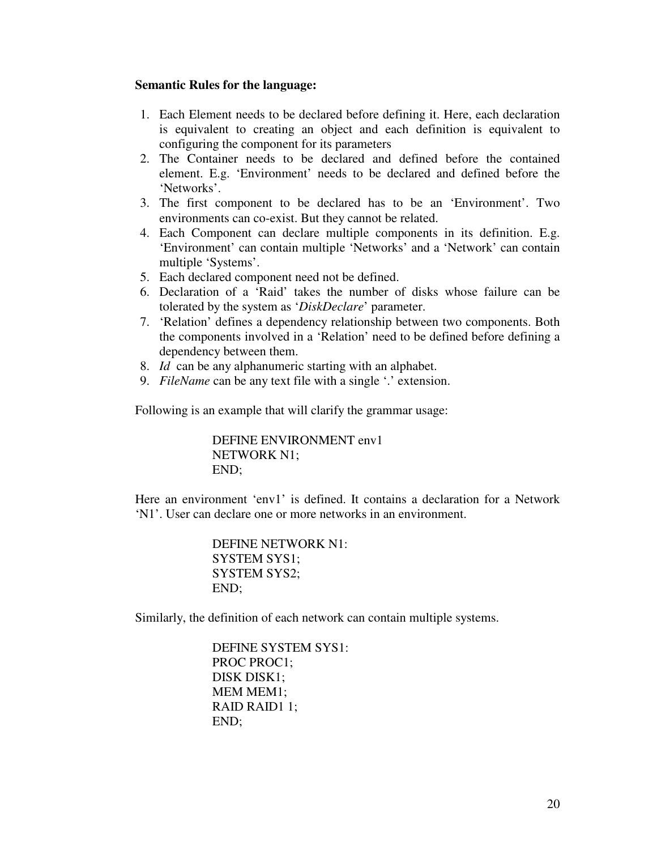# **Semantic Rules for the language:**

- 1. Each Element needs to be declared before defining it. Here, each declaration is equivalent to creating an object and each definition is equivalent to configuring the component for its parameters
- 2. The Container needs to be declared and defined before the contained element. E.g. 'Environment' needs to be declared and defined before the 'Networks'.
- 3. The first component to be declared has to be an 'Environment'. Two environments can co-exist. But they cannot be related.
- 4. Each Component can declare multiple components in its definition. E.g. 'Environment' can contain multiple 'Networks' and a 'Network' can contain multiple 'Systems'.
- 5. Each declared component need not be defined.
- 6. Declaration of a 'Raid' takes the number of disks whose failure can be tolerated by the system as '*DiskDeclare*' parameter.
- 7. 'Relation' defines a dependency relationship between two components. Both the components involved in a 'Relation' need to be defined before defining a dependency between them.
- 8. *Id* can be any alphanumeric starting with an alphabet.
- 9. *FileName* can be any text file with a single '.' extension.

Following is an example that will clarify the grammar usage:

DEFINE ENVIRONMENT env1 NETWORK N1; END;

Here an environment 'env1' is defined. It contains a declaration for a Network 'N1'. User can declare one or more networks in an environment.

> DEFINE NETWORK N1: SYSTEM SYS1; SYSTEM SYS2; END;

Similarly, the definition of each network can contain multiple systems.

DEFINE SYSTEM SYS1: PROC PROC1; DISK DISK1; MEM MEM1; RAID RAID1 1; END;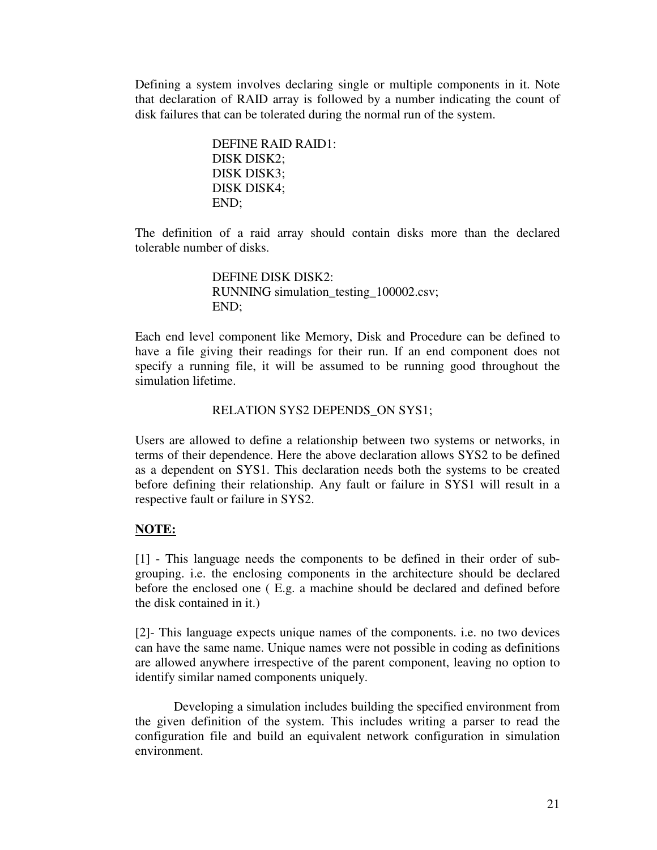Defining a system involves declaring single or multiple components in it. Note that declaration of RAID array is followed by a number indicating the count of disk failures that can be tolerated during the normal run of the system.

> DEFINE RAID RAID1: DISK DISK2; DISK DISK3; DISK DISK4; END;

The definition of a raid array should contain disks more than the declared tolerable number of disks.

> DEFINE DISK DISK2: RUNNING simulation testing 100002.csv; END;

Each end level component like Memory, Disk and Procedure can be defined to have a file giving their readings for their run. If an end component does not specify a running file, it will be assumed to be running good throughout the simulation lifetime.

# RELATION SYS2 DEPENDS\_ON SYS1;

Users are allowed to define a relationship between two systems or networks, in terms of their dependence. Here the above declaration allows SYS2 to be defined as a dependent on SYS1. This declaration needs both the systems to be created before defining their relationship. Any fault or failure in SYS1 will result in a respective fault or failure in SYS2.

# **NOTE:**

[1] - This language needs the components to be defined in their order of subgrouping. i.e. the enclosing components in the architecture should be declared before the enclosed one ( E.g. a machine should be declared and defined before the disk contained in it.)

[2]- This language expects unique names of the components. i.e. no two devices can have the same name. Unique names were not possible in coding as definitions are allowed anywhere irrespective of the parent component, leaving no option to identify similar named components uniquely.

Developing a simulation includes building the specified environment from the given definition of the system. This includes writing a parser to read the configuration file and build an equivalent network configuration in simulation environment.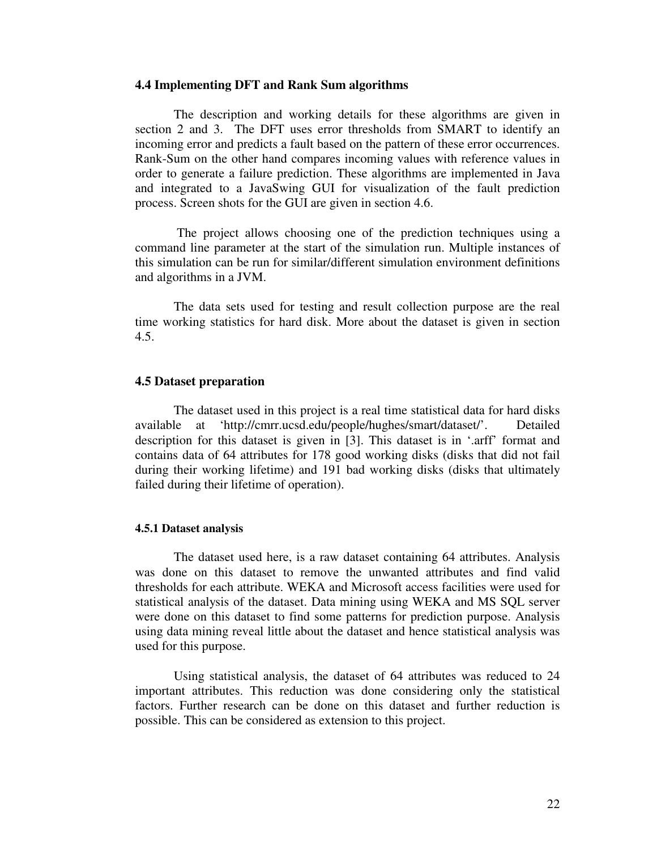#### **4.4 Implementing DFT and Rank Sum algorithms**

The description and working details for these algorithms are given in section 2 and 3. The DFT uses error thresholds from SMART to identify an incoming error and predicts a fault based on the pattern of these error occurrences. Rank-Sum on the other hand compares incoming values with reference values in order to generate a failure prediction. These algorithms are implemented in Java and integrated to a JavaSwing GUI for visualization of the fault prediction process. Screen shots for the GUI are given in section 4.6.

 The project allows choosing one of the prediction techniques using a command line parameter at the start of the simulation run. Multiple instances of this simulation can be run for similar/different simulation environment definitions and algorithms in a JVM.

The data sets used for testing and result collection purpose are the real time working statistics for hard disk. More about the dataset is given in section 4.5.

## **4.5 Dataset preparation**

The dataset used in this project is a real time statistical data for hard disks available at 'http://cmrr.ucsd.edu/people/hughes/smart/dataset/'. Detailed description for this dataset is given in [3]. This dataset is in '.arff' format and contains data of 64 attributes for 178 good working disks (disks that did not fail during their working lifetime) and 191 bad working disks (disks that ultimately failed during their lifetime of operation).

#### **4.5.1 Dataset analysis**

The dataset used here, is a raw dataset containing 64 attributes. Analysis was done on this dataset to remove the unwanted attributes and find valid thresholds for each attribute. WEKA and Microsoft access facilities were used for statistical analysis of the dataset. Data mining using WEKA and MS SQL server were done on this dataset to find some patterns for prediction purpose. Analysis using data mining reveal little about the dataset and hence statistical analysis was used for this purpose.

Using statistical analysis, the dataset of 64 attributes was reduced to 24 important attributes. This reduction was done considering only the statistical factors. Further research can be done on this dataset and further reduction is possible. This can be considered as extension to this project.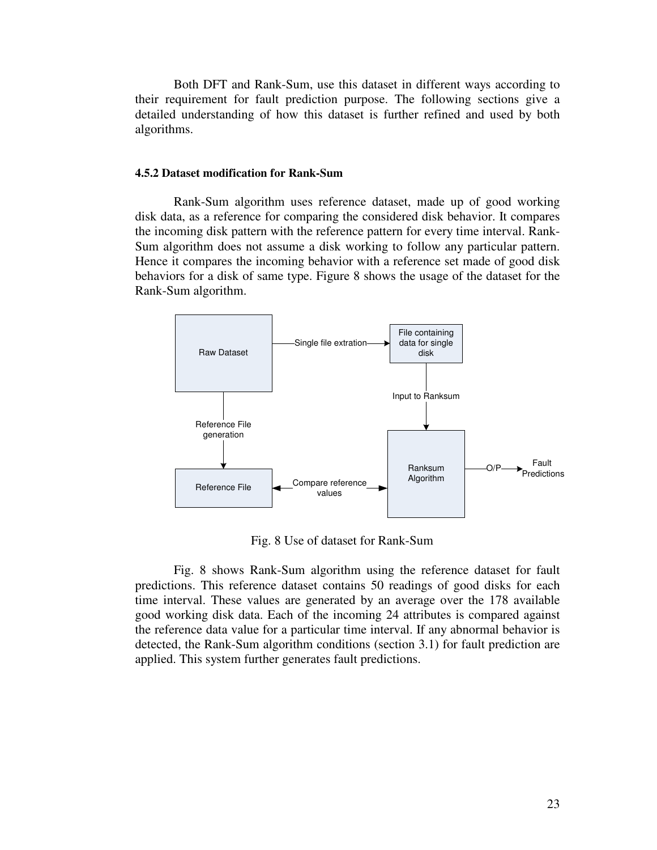Both DFT and Rank-Sum, use this dataset in different ways according to their requirement for fault prediction purpose. The following sections give a detailed understanding of how this dataset is further refined and used by both algorithms.

## **4.5.2 Dataset modification for Rank-Sum**

Rank-Sum algorithm uses reference dataset, made up of good working disk data, as a reference for comparing the considered disk behavior. It compares the incoming disk pattern with the reference pattern for every time interval. Rank-Sum algorithm does not assume a disk working to follow any particular pattern. Hence it compares the incoming behavior with a reference set made of good disk behaviors for a disk of same type. Figure 8 shows the usage of the dataset for the Rank-Sum algorithm.



Fig. 8 Use of dataset for Rank-Sum

Fig. 8 shows Rank-Sum algorithm using the reference dataset for fault predictions. This reference dataset contains 50 readings of good disks for each time interval. These values are generated by an average over the 178 available good working disk data. Each of the incoming 24 attributes is compared against the reference data value for a particular time interval. If any abnormal behavior is detected, the Rank-Sum algorithm conditions (section 3.1) for fault prediction are applied. This system further generates fault predictions.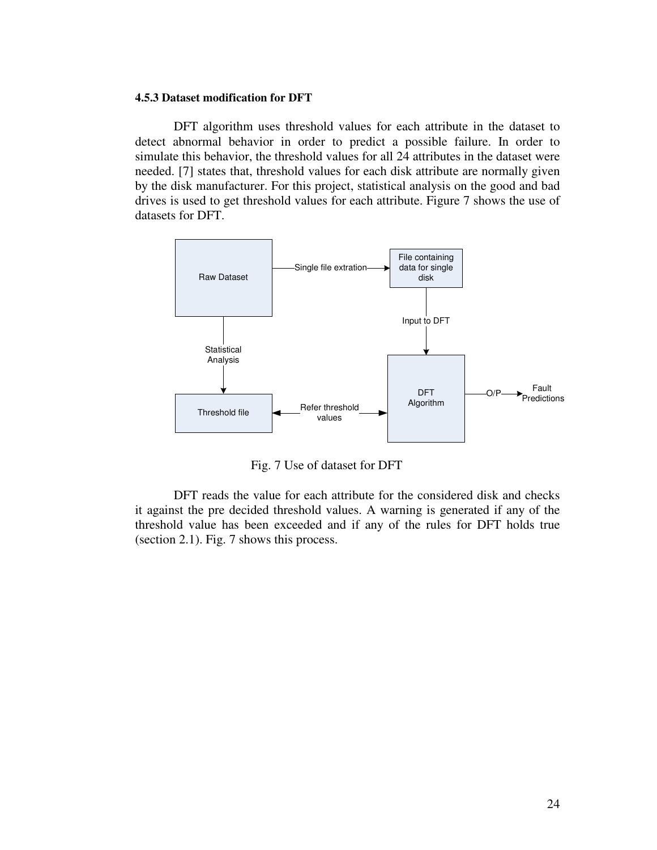#### **4.5.3 Dataset modification for DFT**

DFT algorithm uses threshold values for each attribute in the dataset to detect abnormal behavior in order to predict a possible failure. In order to simulate this behavior, the threshold values for all 24 attributes in the dataset were needed. [7] states that, threshold values for each disk attribute are normally given by the disk manufacturer. For this project, statistical analysis on the good and bad drives is used to get threshold values for each attribute. Figure 7 shows the use of datasets for DFT.



Fig. 7 Use of dataset for DFT

DFT reads the value for each attribute for the considered disk and checks it against the pre decided threshold values. A warning is generated if any of the threshold value has been exceeded and if any of the rules for DFT holds true (section 2.1). Fig. 7 shows this process.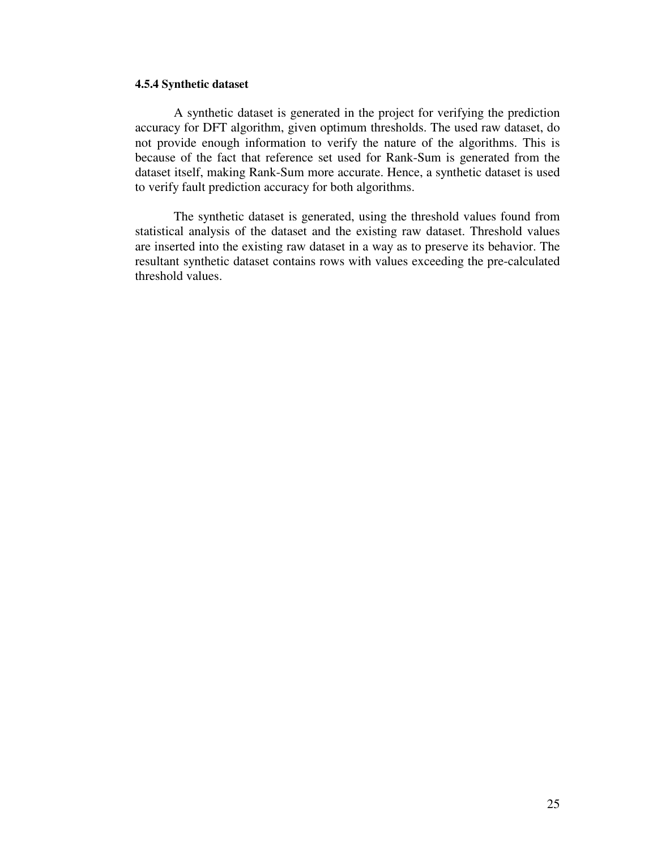## **4.5.4 Synthetic dataset**

A synthetic dataset is generated in the project for verifying the prediction accuracy for DFT algorithm, given optimum thresholds. The used raw dataset, do not provide enough information to verify the nature of the algorithms. This is because of the fact that reference set used for Rank-Sum is generated from the dataset itself, making Rank-Sum more accurate. Hence, a synthetic dataset is used to verify fault prediction accuracy for both algorithms.

The synthetic dataset is generated, using the threshold values found from statistical analysis of the dataset and the existing raw dataset. Threshold values are inserted into the existing raw dataset in a way as to preserve its behavior. The resultant synthetic dataset contains rows with values exceeding the pre-calculated threshold values.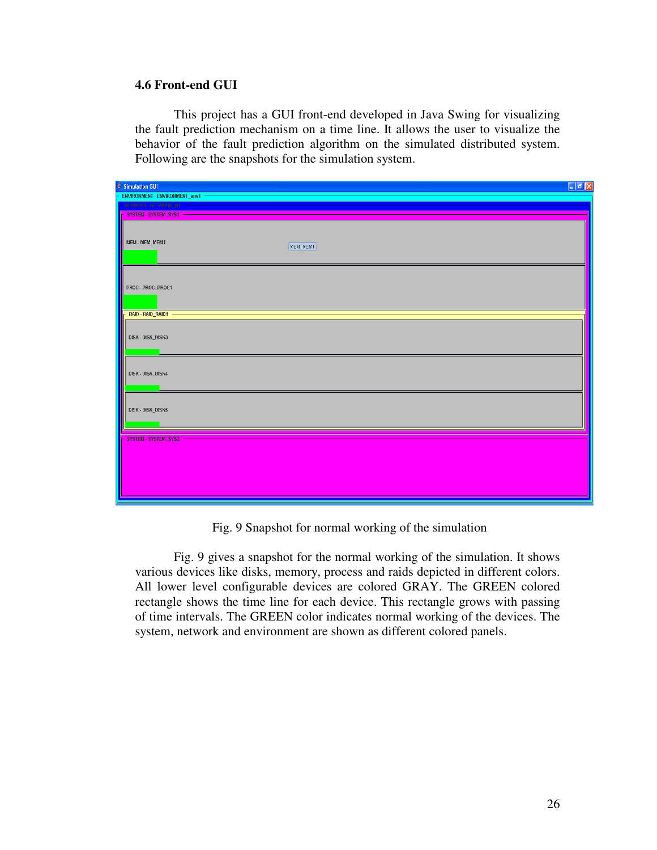## **4.6 Front-end GUI**

This project has a GUI front-end developed in Java Swing for visualizing the fault prediction mechanism on a time line. It allows the user to visualize the behavior of the fault prediction algorithm on the simulated distributed system. Following are the snapshots for the simulation system.

| $\frac{d}{d\theta}$ Simulation GUI | $\Box$ e $\times$ |
|------------------------------------|-------------------|
| ENVIRONMENT - ENVIRONMENT_env1     |                   |
| NETWORK - NETWORK N1 -             |                   |
| <b>F SYSTEM - SYSTEM_SYS1</b>      |                   |
| MEM - MEM_MEM1                     | MEM_MEM1          |
| PROC-PROC_PROC1                    |                   |
| RAID - RAID_RAID1 -                |                   |
| DISK - DISK_DISK3                  |                   |
| DISK-DISK_DISK4                    |                   |
| DISK-DISK_DISK5                    |                   |
| SYSTEM - SYSTEM_SYS2               |                   |
|                                    |                   |

Fig. 9 Snapshot for normal working of the simulation

Fig. 9 gives a snapshot for the normal working of the simulation. It shows various devices like disks, memory, process and raids depicted in different colors. All lower level configurable devices are colored GRAY. The GREEN colored rectangle shows the time line for each device. This rectangle grows with passing of time intervals. The GREEN color indicates normal working of the devices. The system, network and environment are shown as different colored panels.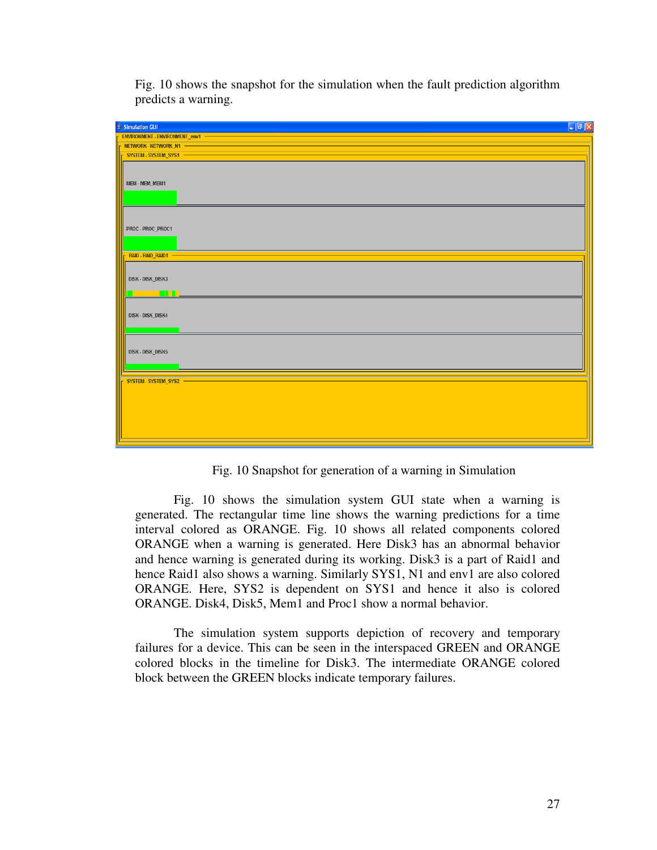| $\Box$ a $\times$<br>$\frac{d}{dx}$ Simulation GUI      |  |
|---------------------------------------------------------|--|
| ENVIRONMENT - ENVIRONMENT_env1 -                        |  |
| NETWORK - NETWORK_N1 -                                  |  |
| <b>F SYSTEM - SYSTEM_SYS1 -</b>                         |  |
| MEM - MEM_MEM1                                          |  |
| PROC-PROC_PROC1                                         |  |
| <b>F RAID-RAID_RAID1 -</b>                              |  |
| DISK - DISK_DISK3<br><b>THE REAL</b><br>and the control |  |
| DISK-DISK_DISK4                                         |  |
| <b>DISK - DISK_DISK5</b>                                |  |
| SYSTEM - SYSTEM_SYS2 -                                  |  |
|                                                         |  |

Fig. 10 shows the snapshot for the simulation when the fault prediction algorithm predicts a warning.

Fig. 10 Snapshot for generation of a warning in Simulation

Fig. 10 shows the simulation system GUI state when a warning is generated. The rectangular time line shows the warning predictions for a time interval colored as ORANGE. Fig. 10 shows all related components colored ORANGE when a warning is generated. Here Disk3 has an abnormal behavior and hence warning is generated during its working. Disk3 is a part of Raid1 and hence Raid1 also shows a warning. Similarly SYS1, N1 and env1 are also colored ORANGE. Here, SYS2 is dependent on SYS1 and hence it also is colored ORANGE. Disk4, Disk5, Mem1 and Proc1 show a normal behavior.

The simulation system supports depiction of recovery and temporary failures for a device. This can be seen in the interspaced GREEN and ORANGE colored blocks in the timeline for Disk3. The intermediate ORANGE colored block between the GREEN blocks indicate temporary failures.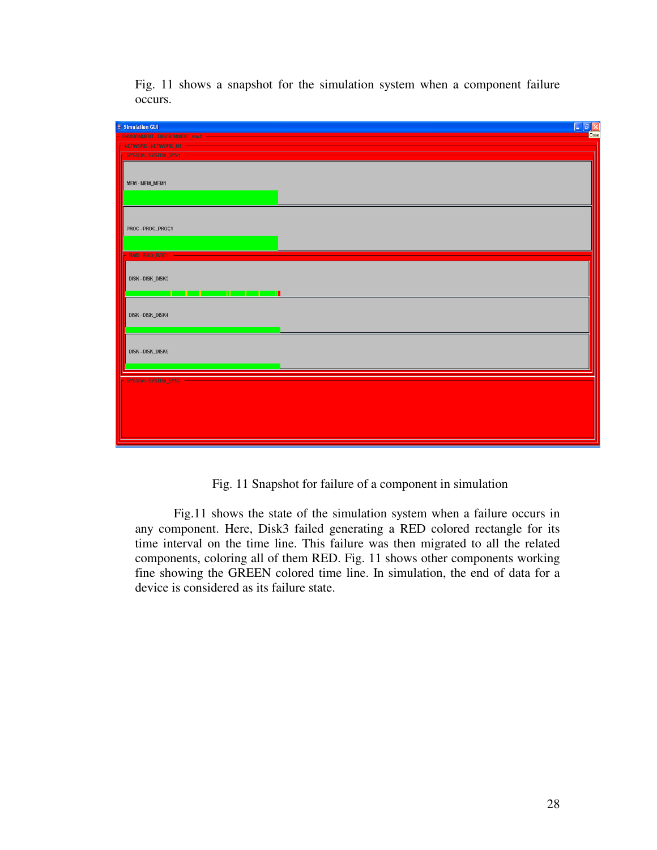



Fig. 11 Snapshot for failure of a component in simulation

Fig.11 shows the state of the simulation system when a failure occurs in any component. Here, Disk3 failed generating a RED colored rectangle for its time interval on the time line. This failure was then migrated to all the related components, coloring all of them RED. Fig. 11 shows other components working fine showing the GREEN colored time line. In simulation, the end of data for a device is considered as its failure state.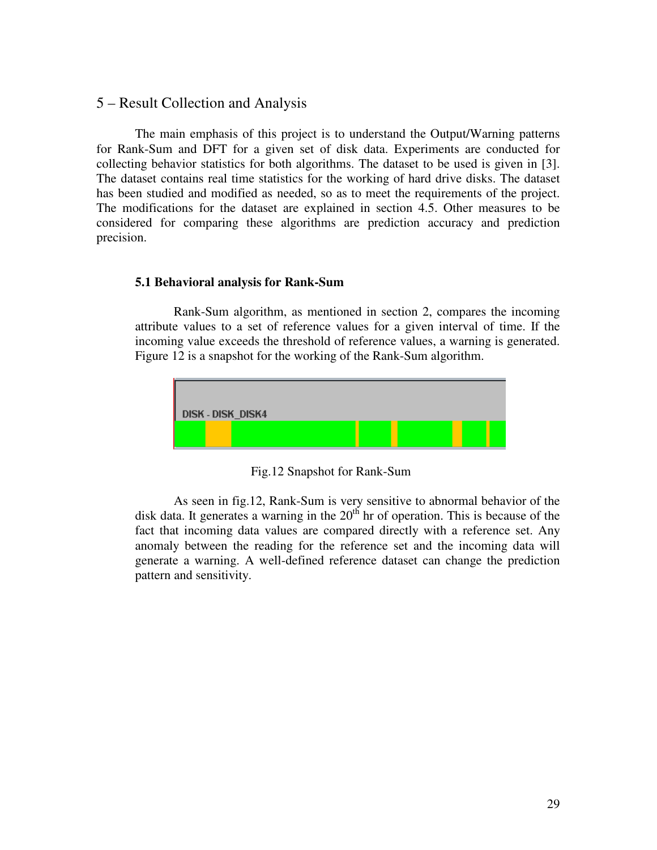# 5 – Result Collection and Analysis

The main emphasis of this project is to understand the Output/Warning patterns for Rank-Sum and DFT for a given set of disk data. Experiments are conducted for collecting behavior statistics for both algorithms. The dataset to be used is given in [3]. The dataset contains real time statistics for the working of hard drive disks. The dataset has been studied and modified as needed, so as to meet the requirements of the project. The modifications for the dataset are explained in section 4.5. Other measures to be considered for comparing these algorithms are prediction accuracy and prediction precision.

## **5.1 Behavioral analysis for Rank-Sum**

Rank-Sum algorithm, as mentioned in section 2, compares the incoming attribute values to a set of reference values for a given interval of time. If the incoming value exceeds the threshold of reference values, a warning is generated. Figure 12 is a snapshot for the working of the Rank-Sum algorithm.



Fig.12 Snapshot for Rank-Sum

As seen in fig.12, Rank-Sum is very sensitive to abnormal behavior of the disk data. It generates a warning in the  $20<sup>th</sup>$  hr of operation. This is because of the fact that incoming data values are compared directly with a reference set. Any anomaly between the reading for the reference set and the incoming data will generate a warning. A well-defined reference dataset can change the prediction pattern and sensitivity.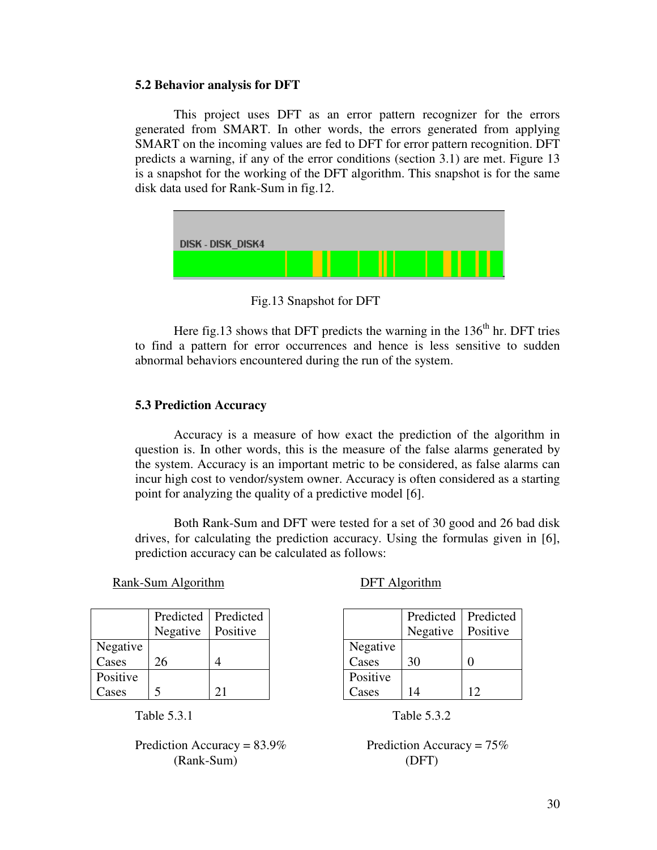## **5.2 Behavior analysis for DFT**

This project uses DFT as an error pattern recognizer for the errors generated from SMART. In other words, the errors generated from applying SMART on the incoming values are fed to DFT for error pattern recognition. DFT predicts a warning, if any of the error conditions (section 3.1) are met. Figure 13 is a snapshot for the working of the DFT algorithm. This snapshot is for the same disk data used for Rank-Sum in fig.12.



Fig.13 Snapshot for DFT

Here fig.13 shows that DFT predicts the warning in the  $136<sup>th</sup>$  hr. DFT tries to find a pattern for error occurrences and hence is less sensitive to sudden abnormal behaviors encountered during the run of the system.

## **5.3 Prediction Accuracy**

Accuracy is a measure of how exact the prediction of the algorithm in question is. In other words, this is the measure of the false alarms generated by the system. Accuracy is an important metric to be considered, as false alarms can incur high cost to vendor/system owner. Accuracy is often considered as a starting point for analyzing the quality of a predictive model [6].

Both Rank-Sum and DFT were tested for a set of 30 good and 26 bad disk drives, for calculating the prediction accuracy. Using the formulas given in [6], prediction accuracy can be calculated as follows:

Rank-Sum Algorithm DFT Algorithm

|  | <b>DFT</b> Algorithm |  |
|--|----------------------|--|
|  |                      |  |

|          | Predicted | Predicted |
|----------|-----------|-----------|
|          | Negative  | Positive  |
| Negative |           |           |
| Cases    | 26        |           |
| Positive |           |           |
| Cases    |           | 21        |

Table 5.3.1 Table 5.3.2

Prediction Accuracy = 83.9% Prediction Accuracy =  $75\%$ (Rank-Sum) (DFT)

|          | Negative | Positive |
|----------|----------|----------|
| Negative |          |          |
| Cases    | 30       | 0        |
| Positive |          |          |
| Cases    | 14       | 12       |
|          |          |          |

Predicted

Predicted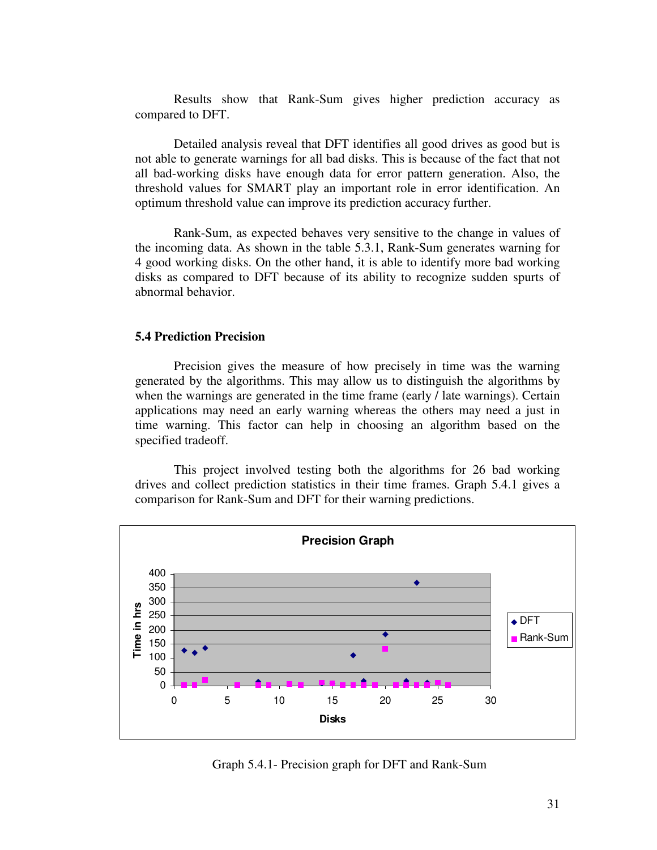Results show that Rank-Sum gives higher prediction accuracy as compared to DFT.

Detailed analysis reveal that DFT identifies all good drives as good but is not able to generate warnings for all bad disks. This is because of the fact that not all bad-working disks have enough data for error pattern generation. Also, the threshold values for SMART play an important role in error identification. An optimum threshold value can improve its prediction accuracy further.

Rank-Sum, as expected behaves very sensitive to the change in values of the incoming data. As shown in the table 5.3.1, Rank-Sum generates warning for 4 good working disks. On the other hand, it is able to identify more bad working disks as compared to DFT because of its ability to recognize sudden spurts of abnormal behavior.

# **5.4 Prediction Precision**

Precision gives the measure of how precisely in time was the warning generated by the algorithms. This may allow us to distinguish the algorithms by when the warnings are generated in the time frame (early / late warnings). Certain applications may need an early warning whereas the others may need a just in time warning. This factor can help in choosing an algorithm based on the specified tradeoff.

This project involved testing both the algorithms for 26 bad working drives and collect prediction statistics in their time frames. Graph 5.4.1 gives a comparison for Rank-Sum and DFT for their warning predictions.



Graph 5.4.1- Precision graph for DFT and Rank-Sum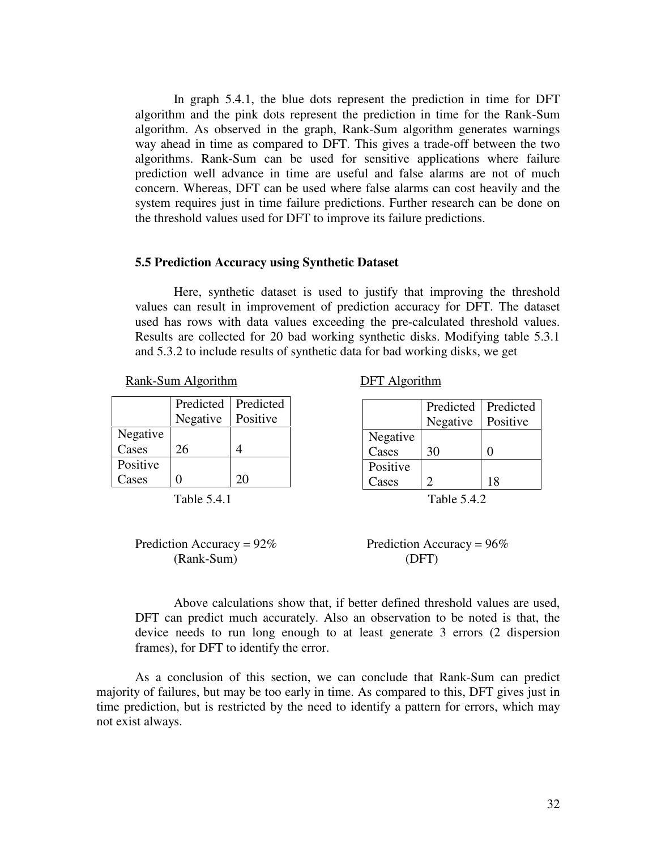In graph 5.4.1, the blue dots represent the prediction in time for DFT algorithm and the pink dots represent the prediction in time for the Rank-Sum algorithm. As observed in the graph, Rank-Sum algorithm generates warnings way ahead in time as compared to DFT. This gives a trade-off between the two algorithms. Rank-Sum can be used for sensitive applications where failure prediction well advance in time are useful and false alarms are not of much concern. Whereas, DFT can be used where false alarms can cost heavily and the system requires just in time failure predictions. Further research can be done on the threshold values used for DFT to improve its failure predictions.

## **5.5 Prediction Accuracy using Synthetic Dataset**

Here, synthetic dataset is used to justify that improving the threshold values can result in improvement of prediction accuracy for DFT. The dataset used has rows with data values exceeding the pre-calculated threshold values. Results are collected for 20 bad working synthetic disks. Modifying table 5.3.1 and 5.3.2 to include results of synthetic data for bad working disks, we get

Rank-Sum Algorithm DFT Algorithm

|          | Predicted | Predicted |
|----------|-----------|-----------|
|          | Negative  | Positive  |
| Negative |           |           |
| Cases    | 26        |           |
| Positive |           |           |
| Cases    |           | 20        |



(Rank-Sum) (DFT)

|          | Predicted | Predicted |
|----------|-----------|-----------|
|          | Negative  | Positive  |
| Negative |           |           |
| Cases    | 30        | 0         |
| Positive |           |           |
| Cases    | C         | 18        |

Prediction Accuracy =  $92\%$  Prediction Accuracy =  $96\%$ 

Above calculations show that, if better defined threshold values are used, DFT can predict much accurately. Also an observation to be noted is that, the device needs to run long enough to at least generate 3 errors (2 dispersion frames), for DFT to identify the error.

 As a conclusion of this section, we can conclude that Rank-Sum can predict majority of failures, but may be too early in time. As compared to this, DFT gives just in time prediction, but is restricted by the need to identify a pattern for errors, which may not exist always.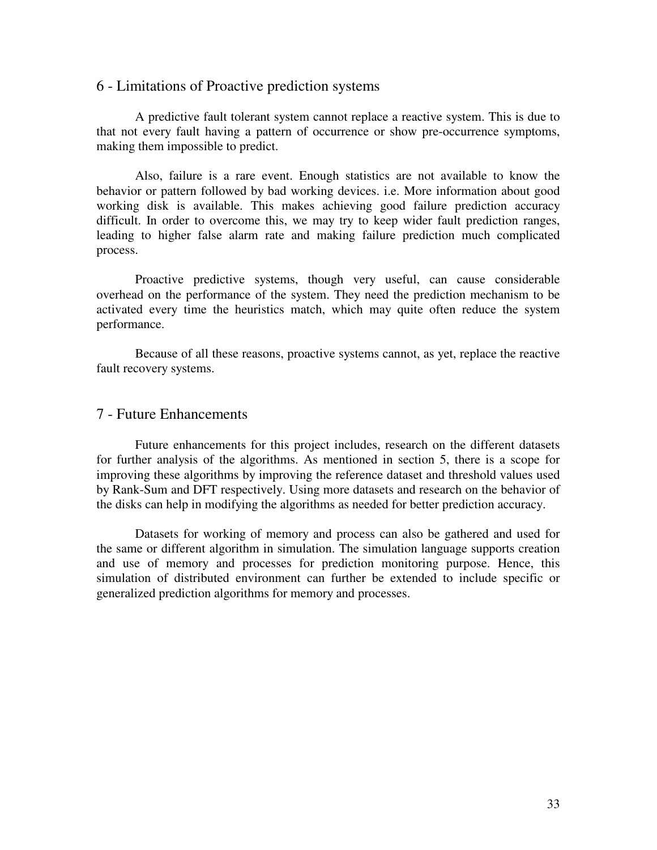# 6 - Limitations of Proactive prediction systems

A predictive fault tolerant system cannot replace a reactive system. This is due to that not every fault having a pattern of occurrence or show pre-occurrence symptoms, making them impossible to predict.

Also, failure is a rare event. Enough statistics are not available to know the behavior or pattern followed by bad working devices. i.e. More information about good working disk is available. This makes achieving good failure prediction accuracy difficult. In order to overcome this, we may try to keep wider fault prediction ranges, leading to higher false alarm rate and making failure prediction much complicated process.

Proactive predictive systems, though very useful, can cause considerable overhead on the performance of the system. They need the prediction mechanism to be activated every time the heuristics match, which may quite often reduce the system performance.

 Because of all these reasons, proactive systems cannot, as yet, replace the reactive fault recovery systems.

# 7 - Future Enhancements

Future enhancements for this project includes, research on the different datasets for further analysis of the algorithms. As mentioned in section 5, there is a scope for improving these algorithms by improving the reference dataset and threshold values used by Rank-Sum and DFT respectively. Using more datasets and research on the behavior of the disks can help in modifying the algorithms as needed for better prediction accuracy.

Datasets for working of memory and process can also be gathered and used for the same or different algorithm in simulation. The simulation language supports creation and use of memory and processes for prediction monitoring purpose. Hence, this simulation of distributed environment can further be extended to include specific or generalized prediction algorithms for memory and processes.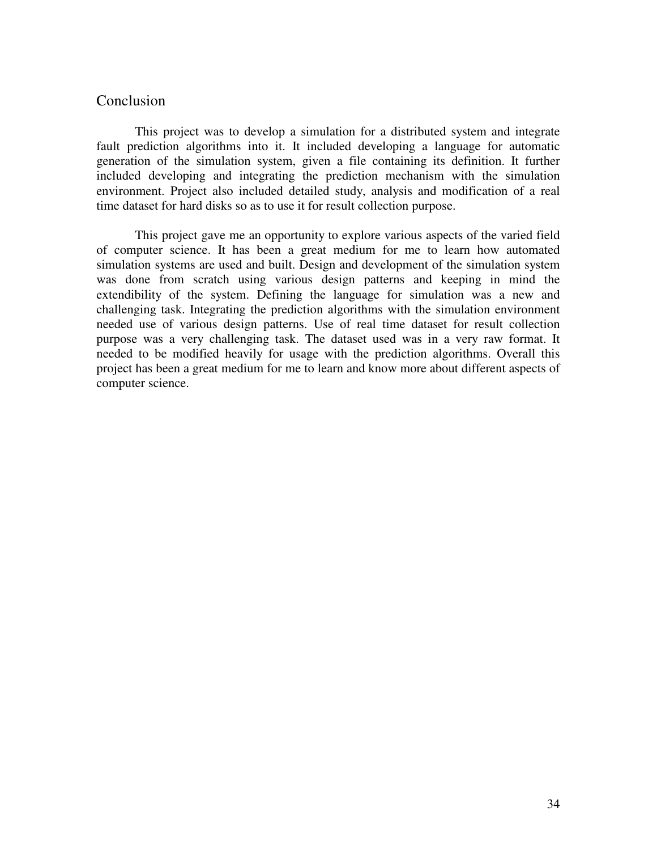# **Conclusion**

This project was to develop a simulation for a distributed system and integrate fault prediction algorithms into it. It included developing a language for automatic generation of the simulation system, given a file containing its definition. It further included developing and integrating the prediction mechanism with the simulation environment. Project also included detailed study, analysis and modification of a real time dataset for hard disks so as to use it for result collection purpose.

 This project gave me an opportunity to explore various aspects of the varied field of computer science. It has been a great medium for me to learn how automated simulation systems are used and built. Design and development of the simulation system was done from scratch using various design patterns and keeping in mind the extendibility of the system. Defining the language for simulation was a new and challenging task. Integrating the prediction algorithms with the simulation environment needed use of various design patterns. Use of real time dataset for result collection purpose was a very challenging task. The dataset used was in a very raw format. It needed to be modified heavily for usage with the prediction algorithms. Overall this project has been a great medium for me to learn and know more about different aspects of computer science.